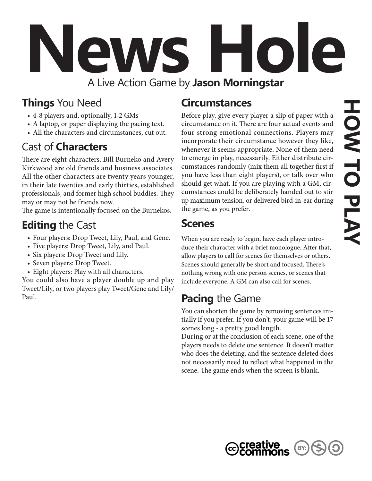# **News Hole** A Live Action Game by **Jason Morningstar**

#### **Things** You Need

- 4-8 players and, optionally, 1-2 GMs
- A laptop, or paper displaying the pacing text.
- All the characters and circumstances, cut out.

#### Cast of **Characters**

There are eight characters. Bill Burneko and Avery Kirkwood are old friends and business associates. All the other characters are twenty years younger, in their late twenties and early thirties, established professionals, and former high school buddies. They may or may not be friends now.

The game is intentionally focused on the Burnekos.

#### **Editing** the Cast

- • Four players: Drop Tweet, Lily, Paul, and Gene.
- Five players: Drop Tweet, Lily, and Paul.
- Six players: Drop Tweet and Lily.
- Seven players: Drop Tweet.
- Eight players: Play with all characters.

You could also have a player double up and play Tweet/Lily, or two players play Tweet/Gene and Lily/ Paul.

#### **Circumstances**

Before play, give every player a slip of paper with a circumstance on it. There are four actual events and four strong emotional connections. Players may incorporate their circumstance however they like, whenever it seems appropriate. None of them need to emerge in play, necessarily. Either distribute circumstances randomly (mix them all together first if you have less than eight players), or talk over who should get what. If you are playing with a GM, circumstances could be deliberately handed out to stir up maximum tension, or delivered bird-in-ear during the game, as you prefer.

#### **Scenes**

When you are ready to begin, have each player introduce their character with a brief monologue. After that, allow players to call for scenes for themselves or others. Scenes should generally be short and focused. There's nothing wrong with one person scenes, or scenes that include everyone. A GM can also call for scenes.

#### **Pacing** the Game

You can shorten the game by removing sentences initially if you prefer. If you don't, your game will be 17 scenes long - a pretty good length.

During or at the conclusion of each scene, one of the players needs to delete one sentence. It doesn't matter who does the deleting, and the sentence deleted does not necessarily need to reflect what happened in the scene. The game ends when the screen is blank.



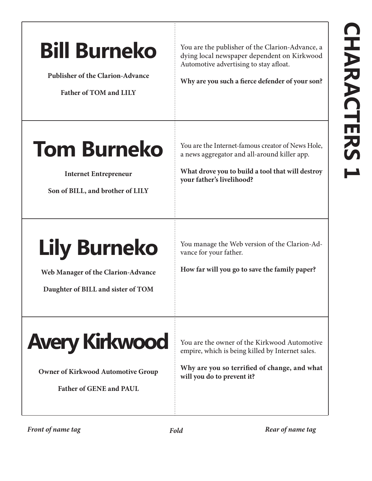### **Bill Burneko**

**Publisher of the Clarion-Advance**

**Father of TOM and LILY**

You are the publisher of the Clarion-Advance, a dying local newspaper dependent on Kirkwood Automotive advertising to stay afloat.

**Why are you such a fierce defender of your son?**

#### **Tom Burneko**

**Internet Entrepreneur**

**Son of BILL, and brother of LILY**

You are the Internet-famous creator of News Hole, a news aggregator and all-around killer app.

**What drove you to build a tool that will destroy your father's livelihood?**

### **Lily Burneko**

**Web Manager of the Clarion-Advance**

**Daughter of BILL and sister of TOM**

You manage the Web version of the Clarion-Advance for your father.

**How far will you go to save the family paper?**



**Owner of Kirkwood Automotive Group**

**Father of GENE and PAUL** 

You are the owner of the Kirkwood Automotive empire, which is being killed by Internet sales.

**Why are you so terrified of change, and what will you do to prevent it?**

*Front of name tag Fold Rear of name tag*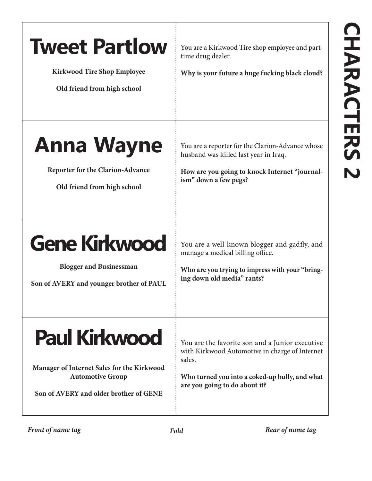| <b>Tweet Partlow</b><br><b>Kirkwood Tire Shop Employee</b><br>Old friend from high school                                               | You are a Kirkwood Tire shop employee and part-<br>time drug dealer.<br>Why is your future a huge fucking black cloud?                                                                         |
|-----------------------------------------------------------------------------------------------------------------------------------------|------------------------------------------------------------------------------------------------------------------------------------------------------------------------------------------------|
| <b>Anna Wayne</b><br><b>Reporter for the Clarion-Advance</b><br>Old friend from high school                                             | You are a reporter for the Clarion-Advance whose<br>husband was killed last year in Iraq.<br>How are you going to knock Internet "journal-<br>ism" down a few pegs?                            |
| <b>Gene Kirkwood</b><br><b>Blogger and Businessman</b><br>Son of AVERY and younger brother of PAUL                                      | You are a well-known blogger and gadfly, and<br>manage a medical billing office.<br>Who are you trying to impress with your "bring-<br>ing down old media" rants?                              |
| <b>Paul Kirkwood</b><br>Manager of Internet Sales for the Kirkwood<br><b>Automotive Group</b><br>Son of AVERY and older brother of GENE | You are the favorite son and a Junior executive<br>with Kirkwood Automotive in charge of Internet<br>sales.<br>Who turned you into a coked-up bully, and what<br>are you going to do about it? |
| Front of name tag                                                                                                                       | Rear of name tag<br>Fold                                                                                                                                                                       |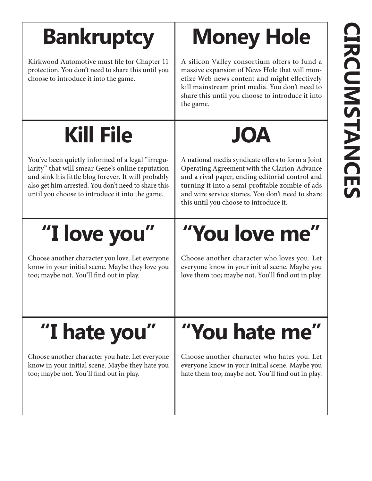### **Bankruptcy**

Kirkwood Automotive must file for Chapter 11 protection. You don't need to share this until you choose to introduce it into the game.

# **Money Hole**

A silicon Valley consortium offers to fund a massive expansion of News Hole that will monetize Web news content and might effectively kill mainstream print media. You don't need to share this until you choose to introduce it into the game.

#### **Kill File**

You've been quietly informed of a legal "irregularity" that will smear Gene's online reputation and sink his little blog forever. It will probably also get him arrested. You don't need to share this until you choose to introduce it into the game.

### **"I love you"**

Choose another character you love. Let everyone know in your initial scene. Maybe they love you too; maybe not. You'll find out in play.

#### A national media syndicate offers to form a Joint Operating Agreement with the Clarion-Advance and a rival paper, ending editorial control and turning it into a semi-profitable zombie of ads and wire service stories. You don't need to share this until you choose to introduce it.

**JOA**

## **"You love me"**

Choose another character who loves you. Let everyone know in your initial scene. Maybe you love them too; maybe not. You'll find out in play.

### **"I hate you"**

Choose another character you hate. Let everyone know in your initial scene. Maybe they hate you too; maybe not. You'll find out in play.

### **"You hate me"**

Choose another character who hates you. Let everyone know in your initial scene. Maybe you hate them too; maybe not. You'll find out in play.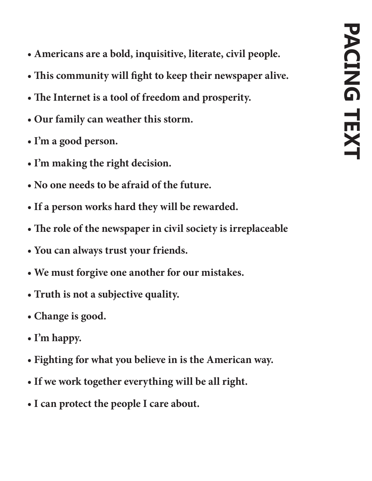- **Americans are a bold, inquisitive, literate, civil people.**
- **This community will fight to keep their newspaper alive.**
- **The Internet is a tool of freedom and prosperity.**
- **Our family can weather this storm.**
- **I'm a good person.**
- **I'm making the right decision.**
- **No one needs to be afraid of the future.**
- **If a person works hard they will be rewarded.**
- **The role of the newspaper in civil society is irreplaceable**
- **You can always trust your friends.**
- **We must forgive one another for our mistakes.**
- **Truth is not a subjective quality.**
- **Change is good.**
- **I'm happy.**
- **Fighting for what you believe in is the American way.**
- **If we work together everything will be all right.**
- **I can protect the people I care about.**